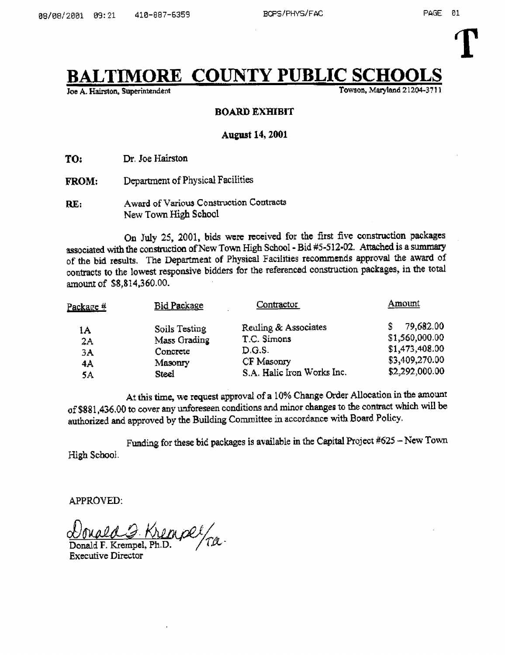# $\begin{array}{cl}\n\textbf{TIMORE} & \textbf{COUNTY PUBLIC SCHOOLS}\n\textbf{Fowson, Maryland 21204-3711}\n\end{array}$

Joe A. Hairston, Superintendent

#### BOARD EXHIBIT

#### August 14, 2001

TO: Dr, Joe Hairston

- FROM; Department of Physical Facilities
- Award of Various Construction Contracts RE: New Town High School

On July 25, 2001, bids were received for the first five construction packages associated with the construction of New Town High School - Bid #5-512-02. Attached is a summary of the bid results. The Department of Physical Facilities recommends approval the award of contracts to the lowest responsive bidders for the referenced construction packages, in the total amount of \$8,814,360.00.

|                            | amount of \$8,814,360.00.                                     | of the bid results. The Department of Physical Facilities recommends approval the award of<br>contracts to the lowest responsive bidders for the referenced construction packages, in the total |                                                                                   |
|----------------------------|---------------------------------------------------------------|-------------------------------------------------------------------------------------------------------------------------------------------------------------------------------------------------|-----------------------------------------------------------------------------------|
| Package #                  | Bid Package                                                   | Contractor                                                                                                                                                                                      | Amount                                                                            |
| 1A<br>2A<br>3A<br>4A<br>5A | Soils Testing<br>Mass Grading<br>Concrete<br>Masonry<br>Steel | Reuling & Associates<br>T.C. Simons<br>D.G.S.<br>CF Masonry<br>S.A. Halic Iron Works Inc.                                                                                                       | 79,682.00<br>\$1,560,000.00<br>\$1,473,408.00<br>\$3,409,270.00<br>\$2,292,000.00 |

At this time, we request approval of <sup>a</sup> 10% Change Order Allocation in the amount of \$881,436.00 to cover any unforeseen conditions and minor changes to the contract which will be authorized and approved by the Building Committee in accordance with Hoard Policy,

High School . Funding for these bid packages is available in the Capital Project #625 -- New Town

APPROVED.

Donald G. Krempel/ra.

Executive Director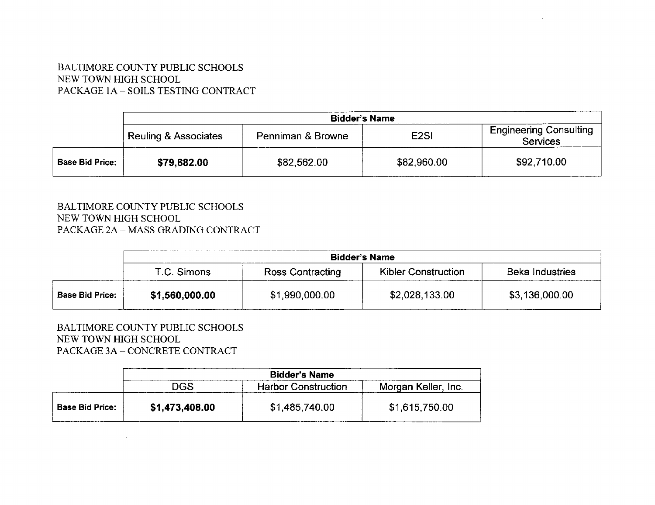### BALTIMORE COUNTY PUBLIC SCHOOLS NEW TOWN HIGH SCHOOL PACKAGE 1A - SOILS TESTING CONTRACT

|                        | <b>Bidder's Name</b>            |                   |                  |                                                  |
|------------------------|---------------------------------|-------------------|------------------|--------------------------------------------------|
|                        | <b>Reuling &amp; Associates</b> | Penniman & Browne | E <sub>2SI</sub> | <b>Engineering Consulting</b><br><b>Services</b> |
| <b>Base Bid Price:</b> | \$79,682.00                     | \$82,562.00       | \$82,960.00      | \$92,710.00                                      |

### BALTIMORE COUNTY PUBLIC SCHOOLS NEW TOWN HIGH SCHOOL PACKAGE 2A - MASS GRADING CONTRACT

| NEW TOWN HIGH SCHOOL | BALTIMORE COUNTY PUBLIC SCHOOLS    |                  |                            |                        |
|----------------------|------------------------------------|------------------|----------------------------|------------------------|
|                      | PACKAGE 2A - MASS GRADING CONTRACT |                  |                            |                        |
|                      |                                    |                  |                            |                        |
|                      |                                    |                  |                            |                        |
|                      |                                    |                  | <b>Bidder's Name</b>       |                        |
|                      | T.C. Simons                        | Ross Contracting | <b>Kibler Construction</b> | <b>Beka Industries</b> |

## BALTIMORE COUNTY PUBLIC SCHOOLS NEW TOWN HIGH SCHOOL PACKAGE 3A - CONCRETE CONTRACT

 $\mathcal{A}^{\mathcal{A}}$ 

| NEW TOWN HIGH SCHOOL | PACKAGE 3A – CONCRETE CONTRACT |                            |                     |
|----------------------|--------------------------------|----------------------------|---------------------|
|                      |                                | <b>Bidder's Name</b>       |                     |
|                      |                                | <b>Harbor Construction</b> | Morgan Keller, Inc. |
|                      | <b>DGS</b>                     |                            |                     |